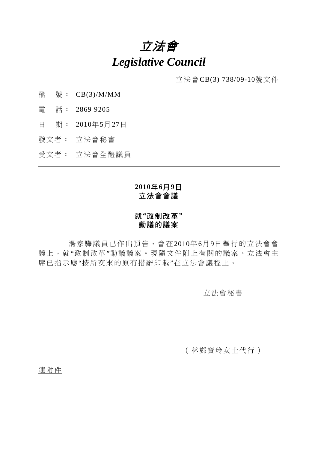# 立法會 *Legislative Council*

立法會CB(3) 738/09-10號文件

- 檔 號: CB(3)/M/MM
- 電 話: 2869 9205
- 日 期: 2010年5月27日
- 發文者: 立法會秘書
- 受文者: 立法會全體議員

# **2010**年**6**月**9**日 立法會會議

## 就**"**政制改革**"**  動議的議案

 湯家驊議員已作出預告,會在2010年6月9日舉行的立法會會 議上,就"政制改革"動議議案。現隨文件附上有關的議案。立法會主 席已指示應"按所交來的原有措辭印載"在立法會議程上。

## 立法會秘書

(林鄭寶玲女士代行)

連附件